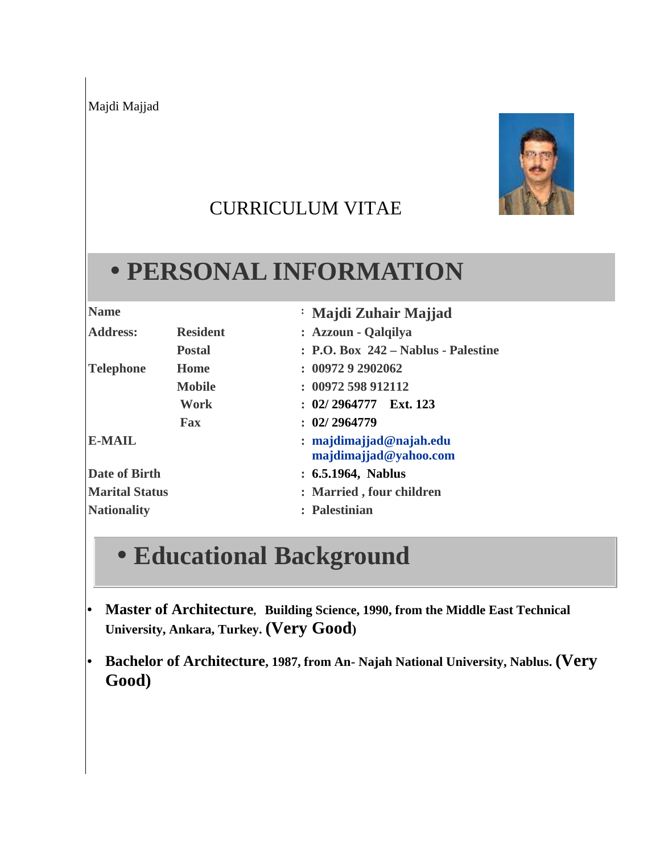Majdi Majjad



#### CURRICULUM VITAE

# **PERSONAL INFORMATION**

| <b>Name</b>           |                 | : Majdi Zuhair Majjad                            |
|-----------------------|-----------------|--------------------------------------------------|
| <b>Address:</b>       | <b>Resident</b> | : Azzoun - Qalqilya                              |
|                       | <b>Postal</b>   | : P.O. Box 242 – Nablus - Palestine              |
| <b>Telephone</b>      | <b>Home</b>     | : 0097292902062                                  |
|                       | <b>Mobile</b>   | : 00972598912112                                 |
|                       | Work            | $: 02/2964777$ Ext. 123                          |
|                       | Fax             | : 02/2964779                                     |
| <b>E-MAIL</b>         |                 | : majdimajjad@najah.edu<br>majdimajjad@yahoo.com |
| Date of Birth         |                 | : 6.5.1964, Nablus                               |
| <b>Marital Status</b> |                 | : Married, four children                         |
| <b>Nationality</b>    |                 | : Palestinian                                    |

# **Educational Background**

- **Master of Architecture, Building Science, 1990, from the Middle East Technical University, Ankara, Turkey. (Very Good)**
- **Bachelor of Architecture, 1987, from An- Najah National University, Nablus. (Very Good)**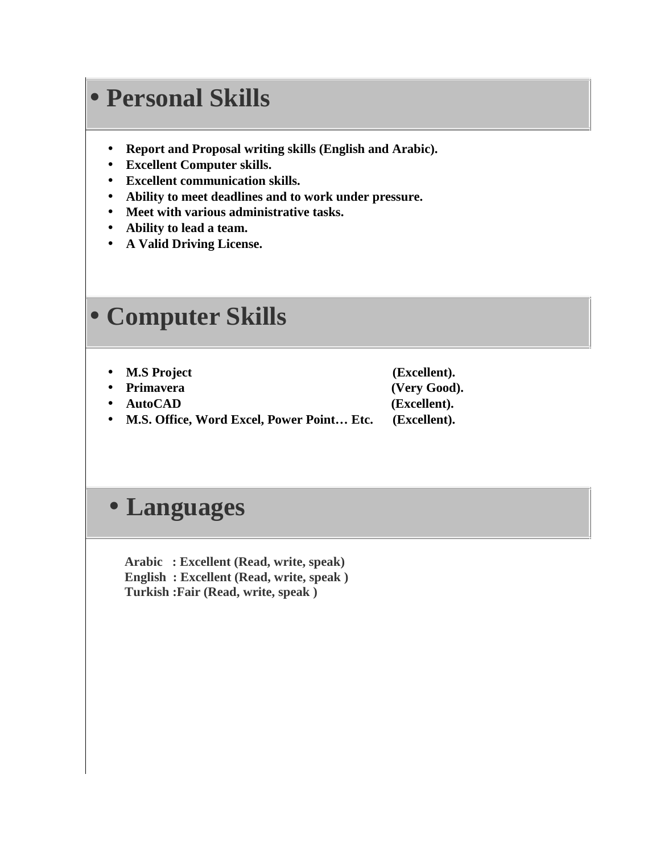# **Personal Skills**

- **Report and Proposal writing skills (English and Arabic).**
- **Excellent Computer skills.**
- **Excellent communication skills.**
- **Ability to meet deadlines and to work under pressure.**
- **Meet with various administrative tasks.**
- **Ability to lead a team.**
- **A Valid Driving License.**

### **Computer Skills**

- **M.S Project (Excellent).**
- 
- **AutoCAD (Excellent).**

**Primavera (Very Good).**

**M.S. Office, Word Excel, Power Point… Etc. (Excellent).**

#### **Languages**

 **Arabic : Excellent (Read, write, speak) English : Excellent (Read, write, speak ) Turkish :Fair (Read, write, speak )**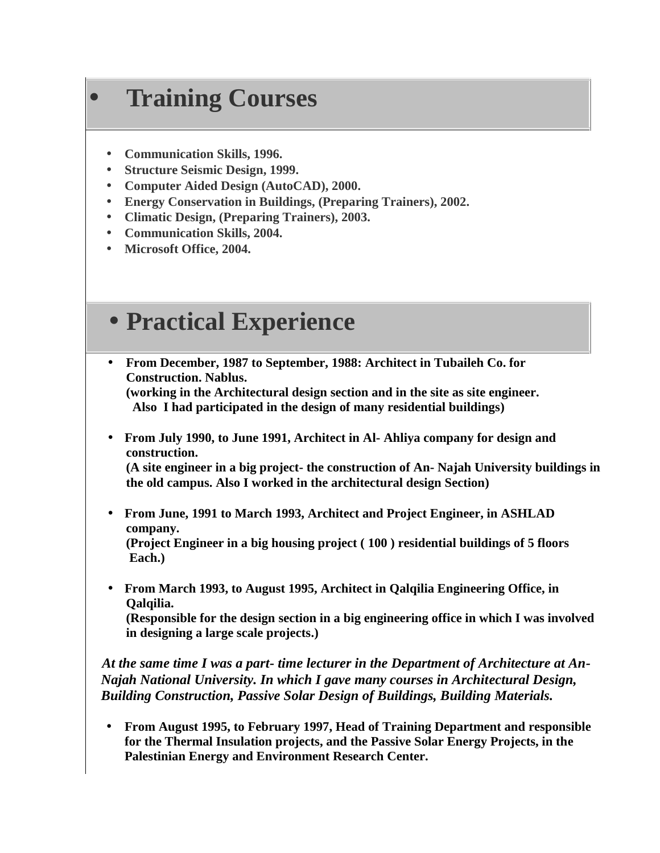## **Training Courses**

- **Communication Skills, 1996.**
- **Structure Seismic Design, 1999.**
- **Computer Aided Design (AutoCAD), 2000.**
- **Energy Conservation in Buildings, (Preparing Trainers), 2002.**
- **Climatic Design, (Preparing Trainers), 2003.**
- **Communication Skills, 2004.**
- **Microsoft Office, 2004.**

## **Practical Experience**

 **From December, 1987 to September, 1988: Architect in Tubaileh Co. for Construction. Nablus. (working in the Architectural design section and in the site as site engineer.**

**Also I had participated in the design of many residential buildings)**

 **From July 1990, to June 1991, Architect in Al- Ahliya company for design and construction. (A site engineer in a big project- the construction of An- Najah University buildings in**

**the old campus. Also I worked in the architectural design Section)**

- **From June, 1991 to March 1993, Architect and Project Engineer, in ASHLAD company. (Project Engineer in a big housing project ( 100 ) residential buildings of 5 floors Each.)**
- **From March 1993, to August 1995, Architect in Qalqilia Engineering Office, in Qalqilia.**

**(Responsible for the design section in a big engineering office in which I was involved in designing a large scale projects.)**

*At the same time I was a part- time lecturer in the Department of Architecture at An- Najah National University. In which I gave many courses in Architectural Design, Building Construction, Passive Solar Design of Buildings, Building Materials.*

 **From August 1995, to February 1997, Head of Training Department and responsible for the Thermal Insulation projects, and the Passive Solar Energy Projects, in the Palestinian Energy and Environment Research Center.**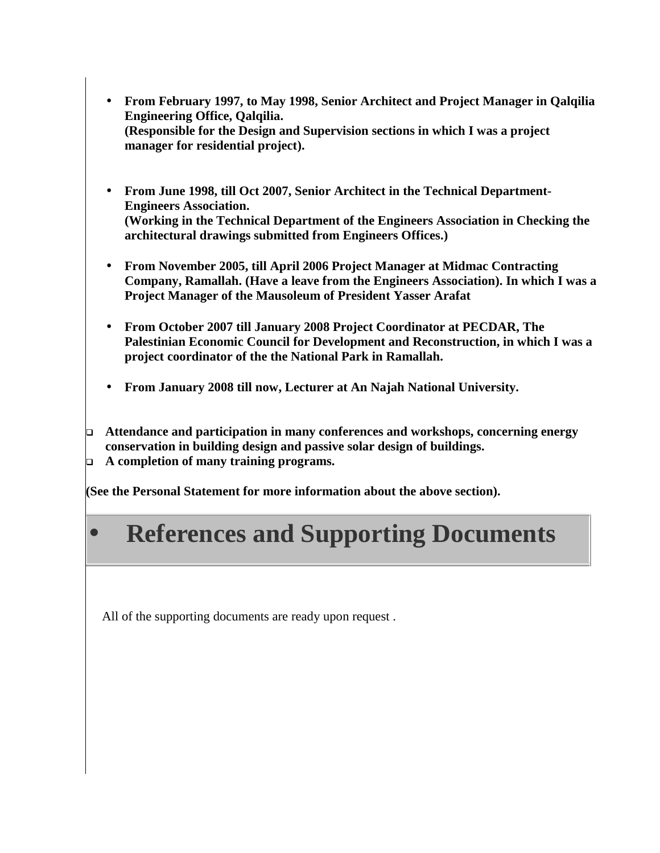- **From February 1997, to May 1998, Senior Architect and Project Manager in Qalqilia Engineering Office, Qalqilia. (Responsible for the Design and Supervision sections in which I was a project manager for residential project).**
- **From June 1998, till Oct 2007, Senior Architect in the Technical Department- Engineers Association. (Working in the Technical Department of the Engineers Association in Checking the architectural drawings submitted from Engineers Offices.)**
- **From November 2005, till April 2006 Project Manager at Midmac Contracting Company, Ramallah. (Have a leave from the Engineers Association). In which I was a Project Manager of the Mausoleum of President Yasser Arafat**
- **From October 2007 till January 2008 Project Coordinator at PECDAR, The Palestinian Economic Council for Development and Reconstruction, in which I was a project coordinator of the the National Park in Ramallah.**
- **From January 2008 till now, Lecturer at An Najah National University.**
- **Attendance and participation in many conferences and workshops, concerning energy conservation in building design and passive solar design of buildings.**
- **A completion of many training programs.**

**(See the Personal Statement for more information about the above section).**

# **References and Supporting Documents**

All of the supporting documents are ready upon request .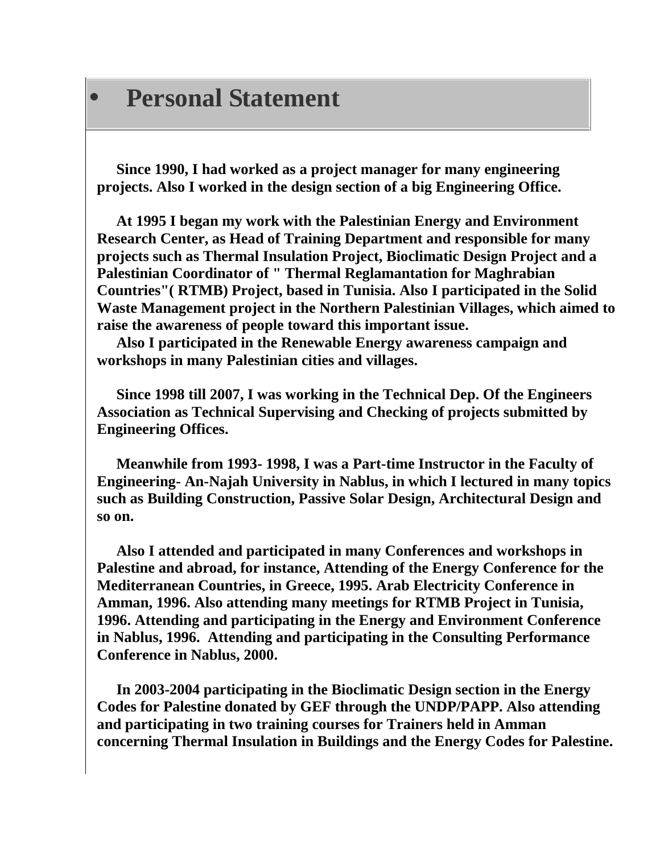#### **Personal Statement**

**Since 1990, I had worked as a project manager for many engineering projects. Also I worked in the design section of a big Engineering Office.**

**At 1995 I began my work with the Palestinian Energy and Environment Research Center, as Head of Training Department and responsible for many projects such as Thermal Insulation Project, Bioclimatic Design Project and a Palestinian Coordinator of " Thermal Reglamantation for Maghrabian Countries"( RTMB) Project, based in Tunisia. Also I participated in the Solid Waste Management project in the Northern Palestinian Villages, which aimed to raise the awareness of people toward this important issue.**

**Also I participated in the Renewable Energy awareness campaign and workshops in many Palestinian cities and villages.**

**Since 1998 till 2007, I was working in the Technical Dep. Of the Engineers Association as Technical Supervising and Checking of projects submitted by Engineering Offices.**

**Meanwhile from 1993- 1998, I was a Part-time Instructor in the Faculty of Engineering- An-Najah University in Nablus, in which I lectured in many topics such as Building Construction, Passive Solar Design, Architectural Design and so on.**

**Also I attended and participated in many Conferences and workshops in Palestine and abroad, for instance, Attending of the Energy Conference for the Mediterranean Countries, in Greece, 1995. Arab Electricity Conference in Amman, 1996. Also attending many meetings for RTMB Project in Tunisia, 1996. Attending and participating in the Energy and Environment Conference in Nablus, 1996. Attending and participating in the Consulting Performance Conference in Nablus, 2000.**

**In 2003-2004 participating in the Bioclimatic Design section in the Energy Codes for Palestine donated by GEF through the UNDP/PAPP. Also attending and participating in two training courses for Trainers held in Amman concerning Thermal Insulation in Buildings and the Energy Codes for Palestine.**